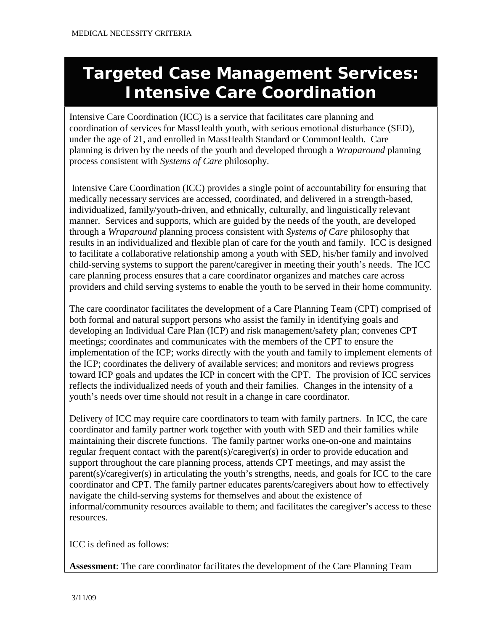## **Targeted Case Management Services: Intensive Care Coordination**

Intensive Care Coordination (ICC) is a service that facilitates care planning and coordination of services for MassHealth youth, with serious emotional disturbance (SED), under the age of 21, and enrolled in MassHealth Standard or CommonHealth. Care planning is driven by the needs of the youth and developed through a *Wraparound* planning process consistent with *Systems of Care* philosophy.

Intensive Care Coordination (ICC) provides a single point of accountability for ensuring that medically necessary services are accessed, coordinated, and delivered in a strength-based, individualized, family/youth-driven, and ethnically, culturally, and linguistically relevant manner. Services and supports, which are guided by the needs of the youth, are developed through a *Wraparound* planning process consistent with *Systems of Care* philosophy that results in an individualized and flexible plan of care for the youth and family. ICC is designed to facilitate a collaborative relationship among a youth with SED, his/her family and involved child-serving systems to support the parent/caregiver in meeting their youth's needs. The ICC care planning process ensures that a care coordinator organizes and matches care across providers and child serving systems to enable the youth to be served in their home community.

The care coordinator facilitates the development of a Care Planning Team (CPT) comprised of both formal and natural support persons who assist the family in identifying goals and developing an Individual Care Plan (ICP) and risk management/safety plan; convenes CPT meetings; coordinates and communicates with the members of the CPT to ensure the implementation of the ICP; works directly with the youth and family to implement elements of the ICP; coordinates the delivery of available services; and monitors and reviews progress toward ICP goals and updates the ICP in concert with the CPT. The provision of ICC services reflects the individualized needs of youth and their families. Changes in the intensity of a youth's needs over time should not result in a change in care coordinator.

Delivery of ICC may require care coordinators to team with family partners. In ICC, the care coordinator and family partner work together with youth with SED and their families while maintaining their discrete functions. The family partner works one-on-one and maintains regular frequent contact with the parent(s)/caregiver(s) in order to provide education and support throughout the care planning process, attends CPT meetings, and may assist the parent(s)/caregiver(s) in articulating the youth's strengths, needs, and goals for ICC to the care coordinator and CPT. The family partner educates parents/caregivers about how to effectively navigate the child-serving systems for themselves and about the existence of informal/community resources available to them; and facilitates the caregiver's access to these resources.

ICC is defined as follows:

**Assessment**: The care coordinator facilitates the development of the Care Planning Team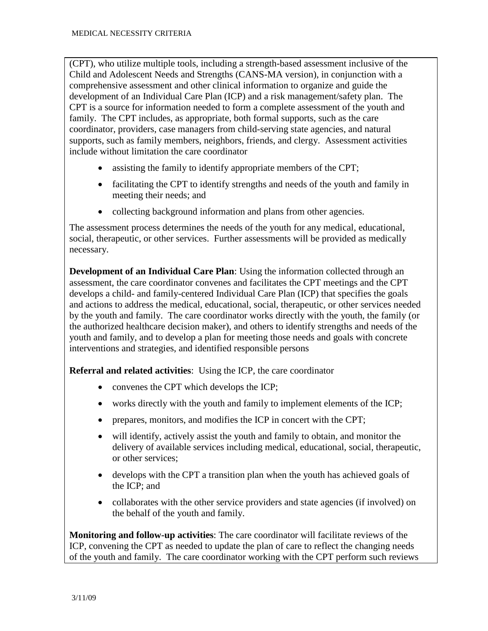(CPT), who utilize multiple tools, including a strength-based assessment inclusive of the Child and Adolescent Needs and Strengths (CANS-MA version), in conjunction with a comprehensive assessment and other clinical information to organize and guide the development of an Individual Care Plan (ICP) and a risk management/safety plan. The CPT is a source for information needed to form a complete assessment of the youth and family. The CPT includes, as appropriate, both formal supports, such as the care coordinator, providers, case managers from child-serving state agencies, and natural supports, such as family members, neighbors, friends, and clergy. Assessment activities include without limitation the care coordinator

- assisting the family to identify appropriate members of the CPT;
- facilitating the CPT to identify strengths and needs of the youth and family in meeting their needs; and
- collecting background information and plans from other agencies.

The assessment process determines the needs of the youth for any medical, educational, social, therapeutic, or other services. Further assessments will be provided as medically necessary.

 **Development of an Individual Care Plan**: Using the information collected through an assessment, the care coordinator convenes and facilitates the CPT meetings and the CPT develops a child- and family-centered Individual Care Plan (ICP) that specifies the goals and actions to address the medical, educational, social, therapeutic, or other services needed by the youth and family. The care coordinator works directly with the youth, the family (or the authorized healthcare decision maker), and others to identify strengths and needs of the youth and family, and to develop a plan for meeting those needs and goals with concrete interventions and strategies, and identified responsible persons

**Referral and related activities**: Using the ICP, the care coordinator

- convenes the CPT which develops the ICP;
- works directly with the youth and family to implement elements of the ICP;
- prepares, monitors, and modifies the ICP in concert with the CPT;
- will identify, actively assist the youth and family to obtain, and monitor the delivery of available services including medical, educational, social, therapeutic, or other services;
- develops with the CPT a transition plan when the youth has achieved goals of the ICP; and
- collaborates with the other service providers and state agencies (if involved) on the behalf of the youth and family.

 **Monitoring and follow-up activities**: The care coordinator will facilitate reviews of the ICP, convening the CPT as needed to update the plan of care to reflect the changing needs of the youth and family. The care coordinator working with the CPT perform such reviews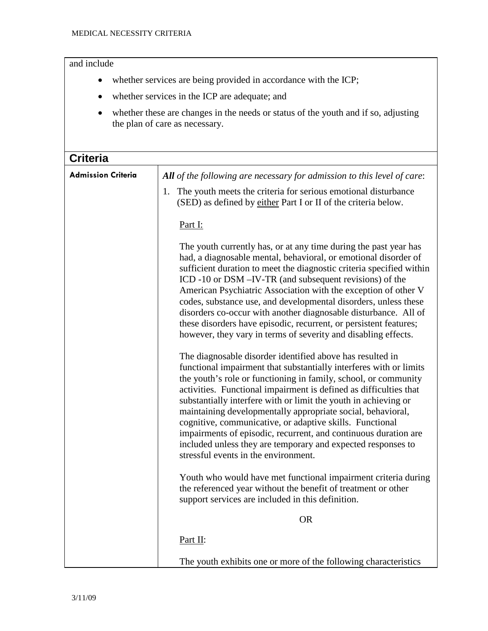| and include               |                                                                                                                                                                                                                                                                                                                                                                                                                                                                                                                                                                                                                                                                                                                    |
|---------------------------|--------------------------------------------------------------------------------------------------------------------------------------------------------------------------------------------------------------------------------------------------------------------------------------------------------------------------------------------------------------------------------------------------------------------------------------------------------------------------------------------------------------------------------------------------------------------------------------------------------------------------------------------------------------------------------------------------------------------|
|                           | whether services are being provided in accordance with the ICP;                                                                                                                                                                                                                                                                                                                                                                                                                                                                                                                                                                                                                                                    |
| $\bullet$                 | whether services in the ICP are adequate; and                                                                                                                                                                                                                                                                                                                                                                                                                                                                                                                                                                                                                                                                      |
|                           | whether these are changes in the needs or status of the youth and if so, adjusting<br>the plan of care as necessary.                                                                                                                                                                                                                                                                                                                                                                                                                                                                                                                                                                                               |
| <b>Criteria</b>           |                                                                                                                                                                                                                                                                                                                                                                                                                                                                                                                                                                                                                                                                                                                    |
| <b>Admission Criteria</b> | All of the following are necessary for admission to this level of care:                                                                                                                                                                                                                                                                                                                                                                                                                                                                                                                                                                                                                                            |
|                           | The youth meets the criteria for serious emotional disturbance<br>1.<br>(SED) as defined by either Part I or II of the criteria below.                                                                                                                                                                                                                                                                                                                                                                                                                                                                                                                                                                             |
|                           | Part I:                                                                                                                                                                                                                                                                                                                                                                                                                                                                                                                                                                                                                                                                                                            |
|                           | The youth currently has, or at any time during the past year has<br>had, a diagnosable mental, behavioral, or emotional disorder of<br>sufficient duration to meet the diagnostic criteria specified within<br>ICD -10 or DSM -IV-TR (and subsequent revisions) of the<br>American Psychiatric Association with the exception of other V<br>codes, substance use, and developmental disorders, unless these<br>disorders co-occur with another diagnosable disturbance. All of<br>these disorders have episodic, recurrent, or persistent features;<br>however, they vary in terms of severity and disabling effects.                                                                                              |
|                           | The diagnosable disorder identified above has resulted in<br>functional impairment that substantially interferes with or limits<br>the youth's role or functioning in family, school, or community<br>activities. Functional impairment is defined as difficulties that<br>substantially interfere with or limit the youth in achieving or<br>maintaining developmentally appropriate social, behavioral,<br>cognitive, communicative, or adaptive skills. Functional<br>impairments of episodic, recurrent, and continuous duration are<br>included unless they are temporary and expected responses to<br>stressful events in the environment.<br>Youth who would have met functional impairment criteria during |
|                           | the referenced year without the benefit of treatment or other<br>support services are included in this definition.                                                                                                                                                                                                                                                                                                                                                                                                                                                                                                                                                                                                 |
|                           | <b>OR</b>                                                                                                                                                                                                                                                                                                                                                                                                                                                                                                                                                                                                                                                                                                          |
|                           | Part II:                                                                                                                                                                                                                                                                                                                                                                                                                                                                                                                                                                                                                                                                                                           |
|                           | The youth exhibits one or more of the following characteristics                                                                                                                                                                                                                                                                                                                                                                                                                                                                                                                                                                                                                                                    |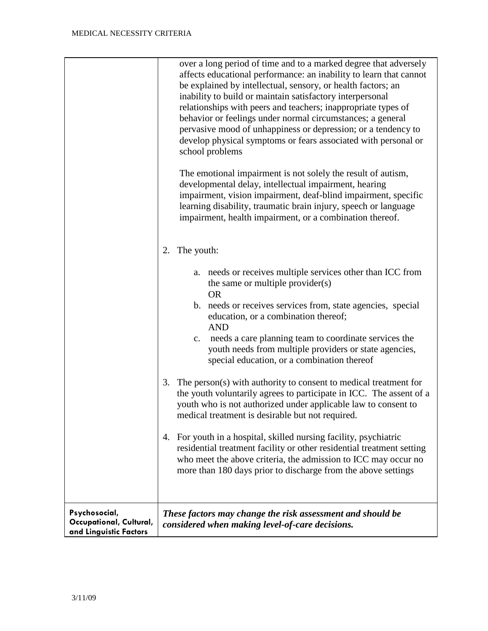|                                                                    | over a long period of time and to a marked degree that adversely<br>affects educational performance: an inability to learn that cannot<br>be explained by intellectual, sensory, or health factors; an<br>inability to build or maintain satisfactory interpersonal<br>relationships with peers and teachers; inappropriate types of<br>behavior or feelings under normal circumstances; a general<br>pervasive mood of unhappiness or depression; or a tendency to<br>develop physical symptoms or fears associated with personal or<br>school problems<br>The emotional impairment is not solely the result of autism,<br>developmental delay, intellectual impairment, hearing<br>impairment, vision impairment, deaf-blind impairment, specific<br>learning disability, traumatic brain injury, speech or language<br>impairment, health impairment, or a combination thereof. |
|--------------------------------------------------------------------|------------------------------------------------------------------------------------------------------------------------------------------------------------------------------------------------------------------------------------------------------------------------------------------------------------------------------------------------------------------------------------------------------------------------------------------------------------------------------------------------------------------------------------------------------------------------------------------------------------------------------------------------------------------------------------------------------------------------------------------------------------------------------------------------------------------------------------------------------------------------------------|
|                                                                    | The youth:<br>2.<br>a. needs or receives multiple services other than ICC from<br>the same or multiple provider(s)<br><b>OR</b><br>b. needs or receives services from, state agencies, special<br>education, or a combination thereof;<br><b>AND</b><br>needs a care planning team to coordinate services the<br>$\mathbf{c}$ .<br>youth needs from multiple providers or state agencies,<br>special education, or a combination thereof                                                                                                                                                                                                                                                                                                                                                                                                                                           |
|                                                                    | The person(s) with authority to consent to medical treatment for<br>3.<br>the youth voluntarily agrees to participate in ICC. The assent of a<br>youth who is not authorized under applicable law to consent to<br>medical treatment is desirable but not required.                                                                                                                                                                                                                                                                                                                                                                                                                                                                                                                                                                                                                |
|                                                                    | For youth in a hospital, skilled nursing facility, psychiatric<br>4.<br>residential treatment facility or other residential treatment setting<br>who meet the above criteria, the admission to ICC may occur no<br>more than 180 days prior to discharge from the above settings                                                                                                                                                                                                                                                                                                                                                                                                                                                                                                                                                                                                   |
| Psychosocial,<br>Occupational, Cultural,<br>and Linguistic Factors | These factors may change the risk assessment and should be<br>considered when making level-of-care decisions.                                                                                                                                                                                                                                                                                                                                                                                                                                                                                                                                                                                                                                                                                                                                                                      |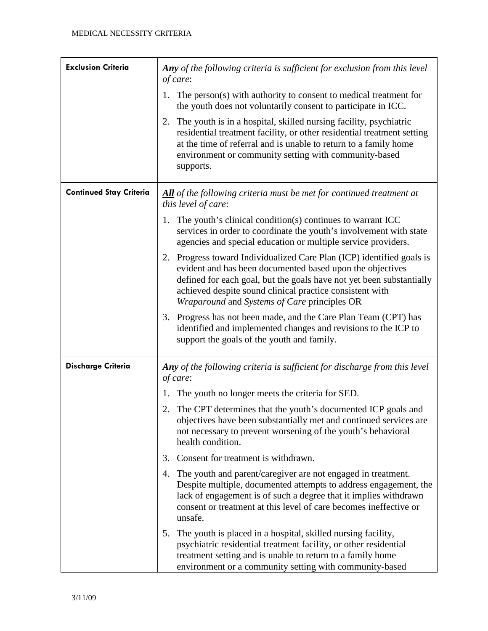| <b>Exclusion Criteria</b>      | Any of the following criteria is sufficient for exclusion from this level                                                                                                                                                                                                                                              |
|--------------------------------|------------------------------------------------------------------------------------------------------------------------------------------------------------------------------------------------------------------------------------------------------------------------------------------------------------------------|
|                                | of care:<br>The person(s) with authority to consent to medical treatment for<br>1.                                                                                                                                                                                                                                     |
|                                | the youth does not voluntarily consent to participate in ICC.                                                                                                                                                                                                                                                          |
|                                | The youth is in a hospital, skilled nursing facility, psychiatric<br>2.<br>residential treatment facility, or other residential treatment setting<br>at the time of referral and is unable to return to a family home<br>environment or community setting with community-based<br>supports.                            |
| <b>Continued Stay Criteria</b> | All of the following criteria must be met for continued treatment at<br>this level of care:                                                                                                                                                                                                                            |
|                                | The youth's clinical condition(s) continues to warrant ICC<br>1.<br>services in order to coordinate the youth's involvement with state<br>agencies and special education or multiple service providers.                                                                                                                |
|                                | 2. Progress toward Individualized Care Plan (ICP) identified goals is<br>evident and has been documented based upon the objectives<br>defined for each goal, but the goals have not yet been substantially<br>achieved despite sound clinical practice consistent with<br>Wraparound and Systems of Care principles OR |
|                                | 3. Progress has not been made, and the Care Plan Team (CPT) has<br>identified and implemented changes and revisions to the ICP to<br>support the goals of the youth and family.                                                                                                                                        |
| <b>Discharge Criteria</b>      | Any of the following criteria is sufficient for discharge from this level<br>of care:                                                                                                                                                                                                                                  |
|                                | The youth no longer meets the criteria for SED.<br>1.                                                                                                                                                                                                                                                                  |
|                                | The CPT determines that the youth's documented ICP goals and<br>2.<br>objectives have been substantially met and continued services are<br>not necessary to prevent worsening of the youth's behavioral<br>health condition.                                                                                           |
|                                | Consent for treatment is withdrawn.<br>3.                                                                                                                                                                                                                                                                              |
|                                | The youth and parent/caregiver are not engaged in treatment.<br>4.<br>Despite multiple, documented attempts to address engagement, the<br>lack of engagement is of such a degree that it implies withdrawn<br>consent or treatment at this level of care becomes ineffective or<br>unsafe.                             |
|                                | The youth is placed in a hospital, skilled nursing facility,<br>5.<br>psychiatric residential treatment facility, or other residential<br>treatment setting and is unable to return to a family home<br>environment or a community setting with community-based                                                        |